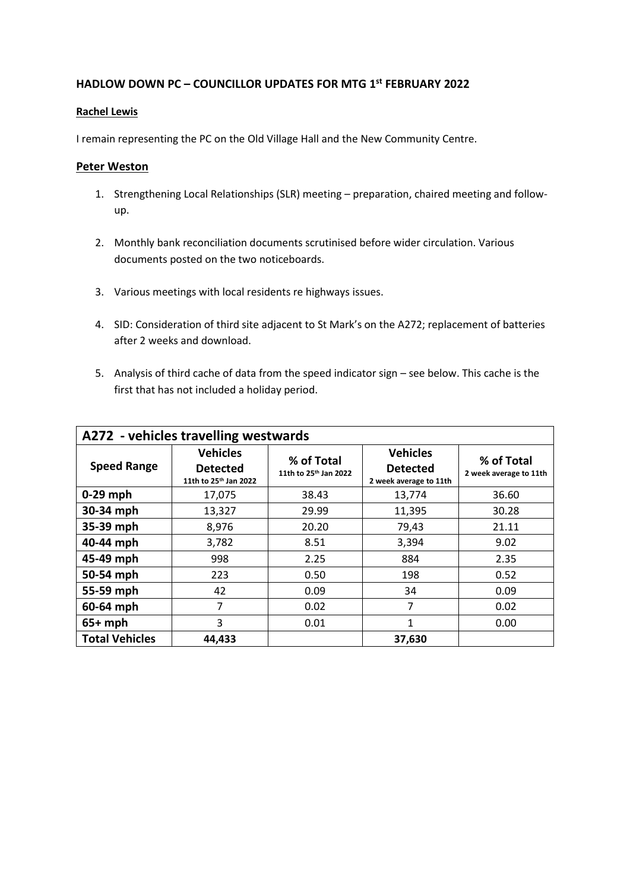## **HADLOW DOWN PC – COUNCILLOR UPDATES FOR MTG 1 st FEBRUARY 2022**

## **Rachel Lewis**

I remain representing the PC on the Old Village Hall and the New Community Centre.

## **Peter Weston**

- 1. Strengthening Local Relationships (SLR) meeting preparation, chaired meeting and followup.
- 2. Monthly bank reconciliation documents scrutinised before wider circulation. Various documents posted on the two noticeboards.
- 3. Various meetings with local residents re highways issues.
- 4. SID: Consideration of third site adjacent to St Mark's on the A272; replacement of batteries after 2 weeks and download.
- 5. Analysis of third cache of data from the speed indicator sign see below. This cache is the first that has not included a holiday period.

|                       | A272 - vehicles travelling westwards                                    |                                                 |                                                              |                                      |
|-----------------------|-------------------------------------------------------------------------|-------------------------------------------------|--------------------------------------------------------------|--------------------------------------|
| <b>Speed Range</b>    | <b>Vehicles</b><br><b>Detected</b><br>11th to 25 <sup>th</sup> Jan 2022 | % of Total<br>11th to 25 <sup>th</sup> Jan 2022 | <b>Vehicles</b><br><b>Detected</b><br>2 week average to 11th | % of Total<br>2 week average to 11th |
| $0-29$ mph            | 17,075                                                                  | 38.43                                           | 13,774                                                       | 36.60                                |
| 30-34 mph             | 13,327                                                                  | 29.99                                           | 11,395                                                       | 30.28                                |
| 35-39 mph             | 8,976                                                                   | 20.20                                           | 79,43                                                        | 21.11                                |
| 40-44 mph             | 3,782                                                                   | 8.51                                            | 3,394                                                        | 9.02                                 |
| 45-49 mph             | 998                                                                     | 2.25                                            | 884                                                          | 2.35                                 |
| 50-54 mph             | 223                                                                     | 0.50                                            | 198                                                          | 0.52                                 |
| 55-59 mph             | 42                                                                      | 0.09                                            | 34                                                           | 0.09                                 |
| 60-64 mph             | 7                                                                       | 0.02                                            | 7                                                            | 0.02                                 |
| $65+mph$              | 3                                                                       | 0.01                                            | 1                                                            | 0.00                                 |
| <b>Total Vehicles</b> | 44,433                                                                  |                                                 | 37,630                                                       |                                      |